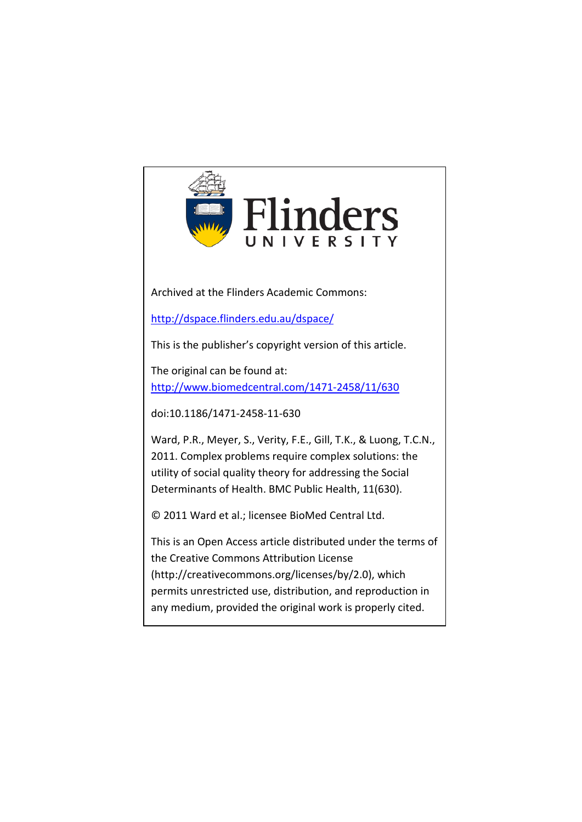

Archived at the Flinders Academic Commons:

<http://dspace.flinders.edu.au/dspace/>

This is the publisher's copyright version of this article.

The original can be found at: <http://www.biomedcentral.com/1471-2458/11/630>

doi:10.1186/1471-2458-11-630

Ward, P.R., Meyer, S., Verity, F.E., Gill, T.K., & Luong, T.C.N., 2011. Complex problems require complex solutions: the utility of social quality theory for addressing the Social Determinants of Health. BMC Public Health, 11(630).

© 2011 Ward et al.; licensee BioMed Central Ltd.

This is an Open Access article distributed under the terms of the Creative Commons Attribution License (http://creativecommons.org/licenses/by/2.0), which permits unrestricted use, distribution, and reproduction in any medium, provided the original work is properly cited.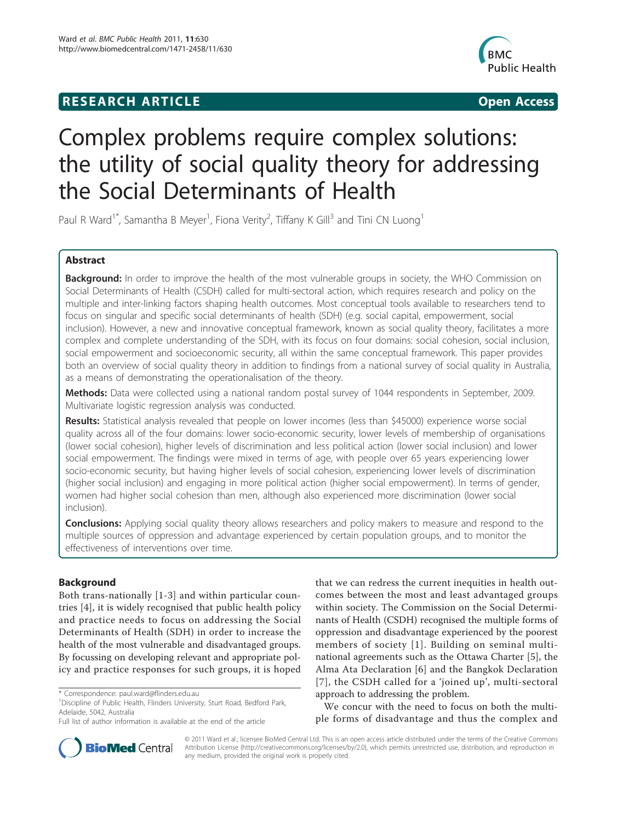## **RESEARCH ARTICLE Example 2018 CONSIDERING ACCESS**



# Complex problems require complex solutions: the utility of social quality theory for addressing the Social Determinants of Health

Paul R Ward<sup>1\*</sup>, Samantha B Meyer<sup>1</sup>, Fiona Verity<sup>2</sup>, Tiffany K Gill<sup>3</sup> and Tini CN Luong<sup>1</sup>

## Abstract

**Background:** In order to improve the health of the most vulnerable groups in society, the WHO Commission on Social Determinants of Health (CSDH) called for multi-sectoral action, which requires research and policy on the multiple and inter-linking factors shaping health outcomes. Most conceptual tools available to researchers tend to focus on singular and specific social determinants of health (SDH) (e.g. social capital, empowerment, social inclusion). However, a new and innovative conceptual framework, known as social quality theory, facilitates a more complex and complete understanding of the SDH, with its focus on four domains: social cohesion, social inclusion, social empowerment and socioeconomic security, all within the same conceptual framework. This paper provides both an overview of social quality theory in addition to findings from a national survey of social quality in Australia, as a means of demonstrating the operationalisation of the theory.

Methods: Data were collected using a national random postal survey of 1044 respondents in September, 2009. Multivariate logistic regression analysis was conducted.

Results: Statistical analysis revealed that people on lower incomes (less than \$45000) experience worse social quality across all of the four domains: lower socio-economic security, lower levels of membership of organisations (lower social cohesion), higher levels of discrimination and less political action (lower social inclusion) and lower social empowerment. The findings were mixed in terms of age, with people over 65 years experiencing lower socio-economic security, but having higher levels of social cohesion, experiencing lower levels of discrimination (higher social inclusion) and engaging in more political action (higher social empowerment). In terms of gender, women had higher social cohesion than men, although also experienced more discrimination (lower social inclusion).

**Conclusions:** Applying social quality theory allows researchers and policy makers to measure and respond to the multiple sources of oppression and advantage experienced by certain population groups, and to monitor the effectiveness of interventions over time.

## Background

Both trans-nationally [[1](#page-9-0)-[3](#page-9-0)] and within particular countries [[4\]](#page-9-0), it is widely recognised that public health policy and practice needs to focus on addressing the Social Determinants of Health (SDH) in order to increase the health of the most vulnerable and disadvantaged groups. By focussing on developing relevant and appropriate policy and practice responses for such groups, it is hoped

that we can redress the current inequities in health outcomes between the most and least advantaged groups within society. The Commission on the Social Determinants of Health (CSDH) recognised the multiple forms of oppression and disadvantage experienced by the poorest members of society [[1\]](#page-9-0). Building on seminal multinational agreements such as the Ottawa Charter [[5](#page-9-0)], the Alma Ata Declaration [[6\]](#page-9-0) and the Bangkok Declaration [[7\]](#page-9-0), the CSDH called for a 'joined up', multi-sectoral approach to addressing the problem.

We concur with the need to focus on both the multiple forms of disadvantage and thus the complex and



© 2011 Ward et al.; licensee BioMed Central Ltd. This is an open access article distributed under the terms of the Creative Commons Attribution License [\(http://creativecommons.org/licenses/by/2.0](http://creativecommons.org/licenses/by/2.0)), which permits unrestricted use, distribution, and reproduction in any medium, provided the original work is properly cited.

<sup>\*</sup> Correspondence: [paul.ward@flinders.edu.au](mailto:paul.ward@flinders.edu.au)

<sup>&</sup>lt;sup>1</sup> Discipline of Public Health, Flinders University, Sturt Road, Bedford Park, Adelaide, 5042, Australia

Full list of author information is available at the end of the article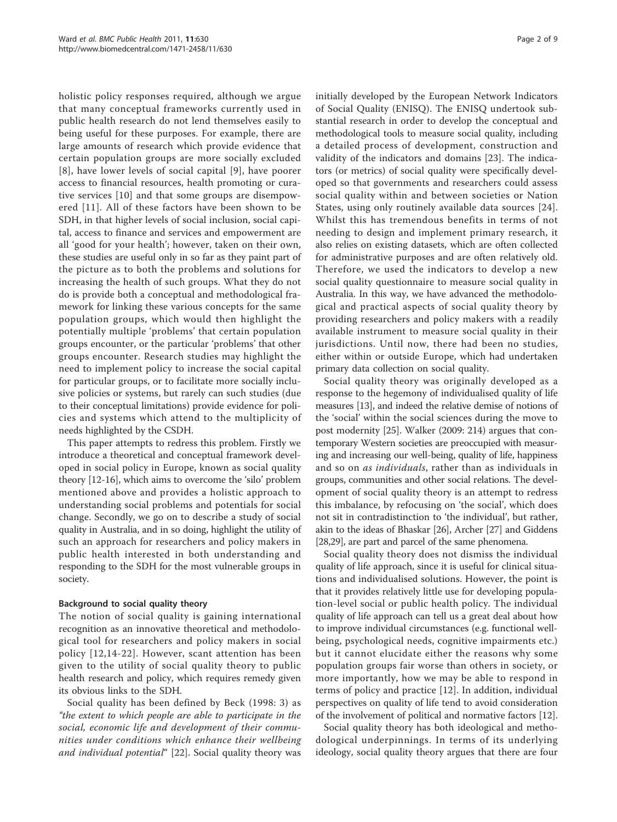holistic policy responses required, although we argue that many conceptual frameworks currently used in public health research do not lend themselves easily to being useful for these purposes. For example, there are large amounts of research which provide evidence that certain population groups are more socially excluded [[8](#page-9-0)], have lower levels of social capital [\[9](#page-9-0)], have poorer access to financial resources, health promoting or curative services [[10\]](#page-9-0) and that some groups are disempowered [\[11\]](#page-9-0). All of these factors have been shown to be SDH, in that higher levels of social inclusion, social capital, access to finance and services and empowerment are all 'good for your health'; however, taken on their own, these studies are useful only in so far as they paint part of the picture as to both the problems and solutions for increasing the health of such groups. What they do not do is provide both a conceptual and methodological framework for linking these various concepts for the same population groups, which would then highlight the potentially multiple 'problems' that certain population groups encounter, or the particular 'problems' that other groups encounter. Research studies may highlight the need to implement policy to increase the social capital for particular groups, or to facilitate more socially inclusive policies or systems, but rarely can such studies (due to their conceptual limitations) provide evidence for policies and systems which attend to the multiplicity of needs highlighted by the CSDH.

This paper attempts to redress this problem. Firstly we introduce a theoretical and conceptual framework developed in social policy in Europe, known as social quality theory [\[12](#page-9-0)-[16](#page-9-0)], which aims to overcome the 'silo' problem mentioned above and provides a holistic approach to understanding social problems and potentials for social change. Secondly, we go on to describe a study of social quality in Australia, and in so doing, highlight the utility of such an approach for researchers and policy makers in public health interested in both understanding and responding to the SDH for the most vulnerable groups in society.

## Background to social quality theory

The notion of social quality is gaining international recognition as an innovative theoretical and methodological tool for researchers and policy makers in social policy [[12,14](#page-9-0)-[22\]](#page-9-0). However, scant attention has been given to the utility of social quality theory to public health research and policy, which requires remedy given its obvious links to the SDH.

Social quality has been defined by Beck (1998: 3) as "the extent to which people are able to participate in the social, economic life and development of their communities under conditions which enhance their wellbeing and individual potential" [\[22](#page-9-0)]. Social quality theory was initially developed by the European Network Indicators of Social Quality (ENISQ). The ENISQ undertook substantial research in order to develop the conceptual and methodological tools to measure social quality, including a detailed process of development, construction and validity of the indicators and domains [\[23](#page-9-0)]. The indicators (or metrics) of social quality were specifically developed so that governments and researchers could assess social quality within and between societies or Nation States, using only routinely available data sources [[24](#page-9-0)]. Whilst this has tremendous benefits in terms of not needing to design and implement primary research, it also relies on existing datasets, which are often collected for administrative purposes and are often relatively old. Therefore, we used the indicators to develop a new social quality questionnaire to measure social quality in Australia. In this way, we have advanced the methodological and practical aspects of social quality theory by providing researchers and policy makers with a readily available instrument to measure social quality in their jurisdictions. Until now, there had been no studies, either within or outside Europe, which had undertaken primary data collection on social quality.

Social quality theory was originally developed as a response to the hegemony of individualised quality of life measures [\[13\]](#page-9-0), and indeed the relative demise of notions of the 'social' within the social sciences during the move to post modernity [[25\]](#page-9-0). Walker (2009: 214) argues that contemporary Western societies are preoccupied with measuring and increasing our well-being, quality of life, happiness and so on as individuals, rather than as individuals in groups, communities and other social relations. The development of social quality theory is an attempt to redress this imbalance, by refocusing on 'the social', which does not sit in contradistinction to 'the individual', but rather, akin to the ideas of Bhaskar [\[26\]](#page-9-0), Archer [\[27](#page-9-0)] and Giddens [[28,29\]](#page-9-0), are part and parcel of the same phenomena.

Social quality theory does not dismiss the individual quality of life approach, since it is useful for clinical situations and individualised solutions. However, the point is that it provides relatively little use for developing population-level social or public health policy. The individual quality of life approach can tell us a great deal about how to improve individual circumstances (e.g. functional wellbeing, psychological needs, cognitive impairments etc.) but it cannot elucidate either the reasons why some population groups fair worse than others in society, or more importantly, how we may be able to respond in terms of policy and practice [[12\]](#page-9-0). In addition, individual perspectives on quality of life tend to avoid consideration of the involvement of political and normative factors [[12](#page-9-0)].

Social quality theory has both ideological and methodological underpinnings. In terms of its underlying ideology, social quality theory argues that there are four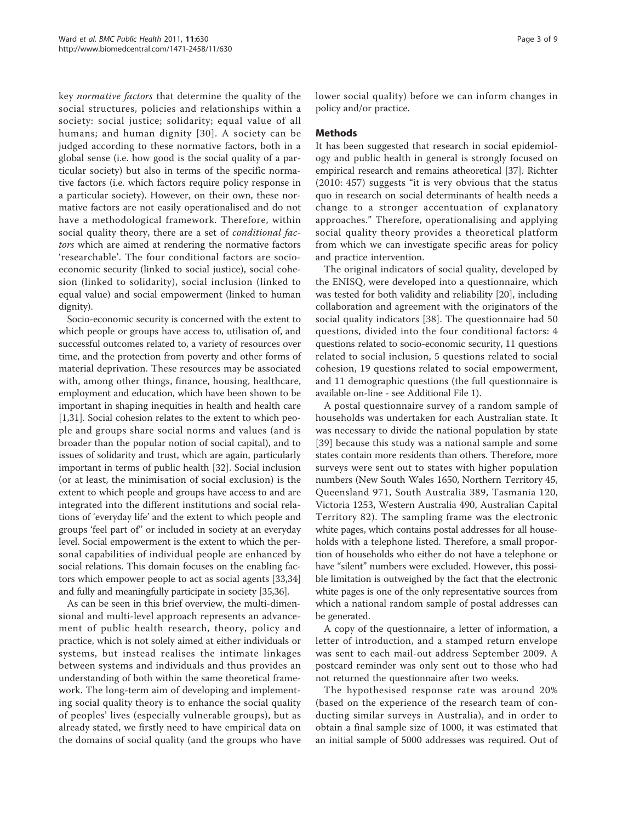key normative factors that determine the quality of the social structures, policies and relationships within a society: social justice; solidarity; equal value of all humans; and human dignity [[30\]](#page-9-0). A society can be judged according to these normative factors, both in a global sense (i.e. how good is the social quality of a particular society) but also in terms of the specific normative factors (i.e. which factors require policy response in a particular society). However, on their own, these normative factors are not easily operationalised and do not have a methodological framework. Therefore, within social quality theory, there are a set of conditional factors which are aimed at rendering the normative factors 'researchable'. The four conditional factors are socioeconomic security (linked to social justice), social cohesion (linked to solidarity), social inclusion (linked to equal value) and social empowerment (linked to human dignity).

Socio-economic security is concerned with the extent to which people or groups have access to, utilisation of, and successful outcomes related to, a variety of resources over time, and the protection from poverty and other forms of material deprivation. These resources may be associated with, among other things, finance, housing, healthcare, employment and education, which have been shown to be important in shaping inequities in health and health care [[1,31\]](#page-9-0). Social cohesion relates to the extent to which people and groups share social norms and values (and is broader than the popular notion of social capital), and to issues of solidarity and trust, which are again, particularly important in terms of public health [\[32\]](#page-9-0). Social inclusion (or at least, the minimisation of social exclusion) is the extent to which people and groups have access to and are integrated into the different institutions and social relations of 'everyday life' and the extent to which people and groups 'feel part of'' or included in society at an everyday level. Social empowerment is the extent to which the personal capabilities of individual people are enhanced by social relations. This domain focuses on the enabling factors which empower people to act as social agents [[33,34](#page-9-0)] and fully and meaningfully participate in society [\[35,36](#page-9-0)].

As can be seen in this brief overview, the multi-dimensional and multi-level approach represents an advancement of public health research, theory, policy and practice, which is not solely aimed at either individuals or systems, but instead realises the intimate linkages between systems and individuals and thus provides an understanding of both within the same theoretical framework. The long-term aim of developing and implementing social quality theory is to enhance the social quality of peoples' lives (especially vulnerable groups), but as already stated, we firstly need to have empirical data on the domains of social quality (and the groups who have lower social quality) before we can inform changes in policy and/or practice.

## Methods

It has been suggested that research in social epidemiology and public health in general is strongly focused on empirical research and remains atheoretical [[37\]](#page-9-0). Richter (2010: 457) suggests "it is very obvious that the status quo in research on social determinants of health needs a change to a stronger accentuation of explanatory approaches." Therefore, operationalising and applying social quality theory provides a theoretical platform from which we can investigate specific areas for policy and practice intervention.

The original indicators of social quality, developed by the ENISQ, were developed into a questionnaire, which was tested for both validity and reliability [[20\]](#page-9-0), including collaboration and agreement with the originators of the social quality indicators [\[38](#page-9-0)]. The questionnaire had 50 questions, divided into the four conditional factors: 4 questions related to socio-economic security, 11 questions related to social inclusion, 5 questions related to social cohesion, 19 questions related to social empowerment, and 11 demographic questions (the full questionnaire is available on-line - see Additional File [1\)](#page-8-0).

A postal questionnaire survey of a random sample of households was undertaken for each Australian state. It was necessary to divide the national population by state [[39](#page-9-0)] because this study was a national sample and some states contain more residents than others. Therefore, more surveys were sent out to states with higher population numbers (New South Wales 1650, Northern Territory 45, Queensland 971, South Australia 389, Tasmania 120, Victoria 1253, Western Australia 490, Australian Capital Territory 82). The sampling frame was the electronic white pages, which contains postal addresses for all households with a telephone listed. Therefore, a small proportion of households who either do not have a telephone or have "silent" numbers were excluded. However, this possible limitation is outweighed by the fact that the electronic white pages is one of the only representative sources from which a national random sample of postal addresses can be generated.

A copy of the questionnaire, a letter of information, a letter of introduction, and a stamped return envelope was sent to each mail-out address September 2009. A postcard reminder was only sent out to those who had not returned the questionnaire after two weeks.

The hypothesised response rate was around 20% (based on the experience of the research team of conducting similar surveys in Australia), and in order to obtain a final sample size of 1000, it was estimated that an initial sample of 5000 addresses was required. Out of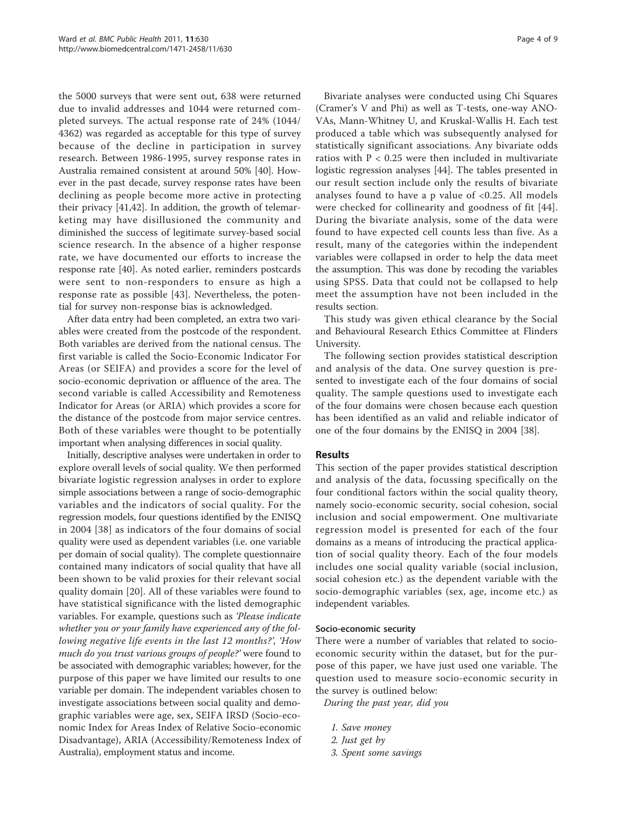the 5000 surveys that were sent out, 638 were returned due to invalid addresses and 1044 were returned completed surveys. The actual response rate of 24% (1044/ 4362) was regarded as acceptable for this type of survey because of the decline in participation in survey research. Between 1986-1995, survey response rates in Australia remained consistent at around 50% [\[40\]](#page-9-0). However in the past decade, survey response rates have been declining as people become more active in protecting their privacy [[41,42\]](#page-9-0). In addition, the growth of telemarketing may have disillusioned the community and diminished the success of legitimate survey-based social science research. In the absence of a higher response rate, we have documented our efforts to increase the response rate [[40](#page-9-0)]. As noted earlier, reminders postcards were sent to non-responders to ensure as high a response rate as possible [\[43](#page-9-0)]. Nevertheless, the potential for survey non-response bias is acknowledged.

After data entry had been completed, an extra two variables were created from the postcode of the respondent. Both variables are derived from the national census. The first variable is called the Socio-Economic Indicator For Areas (or SEIFA) and provides a score for the level of socio-economic deprivation or affluence of the area. The second variable is called Accessibility and Remoteness Indicator for Areas (or ARIA) which provides a score for the distance of the postcode from major service centres. Both of these variables were thought to be potentially important when analysing differences in social quality.

Initially, descriptive analyses were undertaken in order to explore overall levels of social quality. We then performed bivariate logistic regression analyses in order to explore simple associations between a range of socio-demographic variables and the indicators of social quality. For the regression models, four questions identified by the ENISQ in 2004 [[38\]](#page-9-0) as indicators of the four domains of social quality were used as dependent variables (i.e. one variable per domain of social quality). The complete questionnaire contained many indicators of social quality that have all been shown to be valid proxies for their relevant social quality domain [[20](#page-9-0)]. All of these variables were found to have statistical significance with the listed demographic variables. For example, questions such as 'Please indicate whether you or your family have experienced any of the following negative life events in the last 12 months?', 'How much do you trust various groups of people?' were found to be associated with demographic variables; however, for the purpose of this paper we have limited our results to one variable per domain. The independent variables chosen to investigate associations between social quality and demographic variables were age, sex, SEIFA IRSD (Socio-economic Index for Areas Index of Relative Socio-economic Disadvantage), ARIA (Accessibility/Remoteness Index of Australia), employment status and income.

Bivariate analyses were conducted using Chi Squares (Cramer's V and Phi) as well as T-tests, one-way ANO-VAs, Mann-Whitney U, and Kruskal-Wallis H. Each test produced a table which was subsequently analysed for statistically significant associations. Any bivariate odds ratios with  $P < 0.25$  were then included in multivariate logistic regression analyses [\[44](#page-9-0)]. The tables presented in our result section include only the results of bivariate analyses found to have a p value of <0.25. All models were checked for collinearity and goodness of fit [[44](#page-9-0)]. During the bivariate analysis, some of the data were found to have expected cell counts less than five. As a result, many of the categories within the independent variables were collapsed in order to help the data meet the assumption. This was done by recoding the variables using SPSS. Data that could not be collapsed to help meet the assumption have not been included in the results section.

This study was given ethical clearance by the Social and Behavioural Research Ethics Committee at Flinders University.

The following section provides statistical description and analysis of the data. One survey question is presented to investigate each of the four domains of social quality. The sample questions used to investigate each of the four domains were chosen because each question has been identified as an valid and reliable indicator of one of the four domains by the ENISQ in 2004 [[38\]](#page-9-0).

## Results

This section of the paper provides statistical description and analysis of the data, focussing specifically on the four conditional factors within the social quality theory, namely socio-economic security, social cohesion, social inclusion and social empowerment. One multivariate regression model is presented for each of the four domains as a means of introducing the practical application of social quality theory. Each of the four models includes one social quality variable (social inclusion, social cohesion etc.) as the dependent variable with the socio-demographic variables (sex, age, income etc.) as independent variables.

#### Socio-economic security

There were a number of variables that related to socioeconomic security within the dataset, but for the purpose of this paper, we have just used one variable. The question used to measure socio-economic security in the survey is outlined below:

During the past year, did you

- 1. Save money
- 2. Just get by
- 3. Spent some savings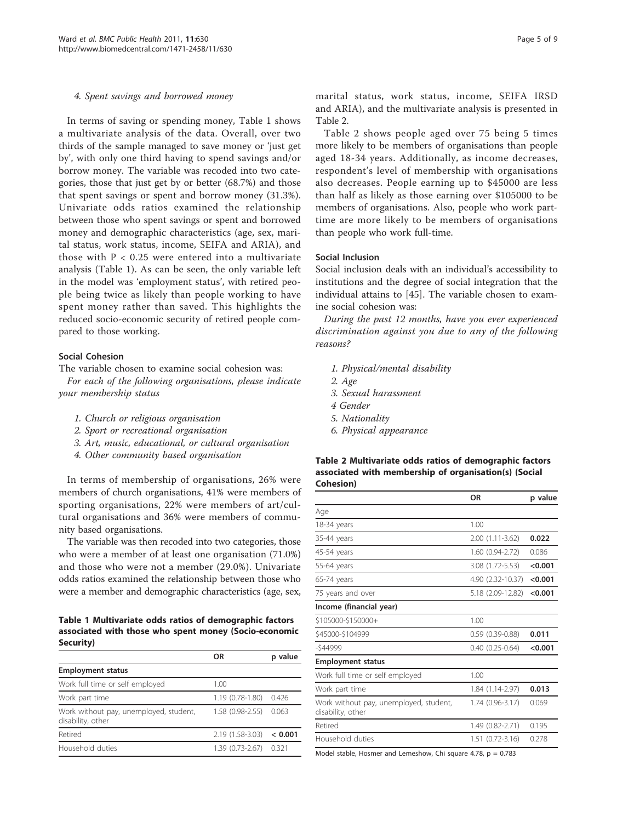## 4. Spent savings and borrowed money

In terms of saving or spending money, Table 1 shows a multivariate analysis of the data. Overall, over two thirds of the sample managed to save money or 'just get by', with only one third having to spend savings and/or borrow money. The variable was recoded into two categories, those that just get by or better (68.7%) and those that spent savings or spent and borrow money (31.3%). Univariate odds ratios examined the relationship between those who spent savings or spent and borrowed money and demographic characteristics (age, sex, marital status, work status, income, SEIFA and ARIA), and those with  $P < 0.25$  were entered into a multivariate analysis (Table 1). As can be seen, the only variable left in the model was 'employment status', with retired people being twice as likely than people working to have spent money rather than saved. This highlights the reduced socio-economic security of retired people compared to those working.

## Social Cohesion

The variable chosen to examine social cohesion was:

For each of the following organisations, please indicate your membership status

- 1. Church or religious organisation
- 2. Sport or recreational organisation
- 3. Art, music, educational, or cultural organisation
- 4. Other community based organisation

In terms of membership of organisations, 26% were members of church organisations, 41% were members of sporting organisations, 22% were members of art/cultural organisations and 36% were members of community based organisations.

The variable was then recoded into two categories, those who were a member of at least one organisation (71.0%) and those who were not a member (29.0%). Univariate odds ratios examined the relationship between those who were a member and demographic characteristics (age, sex,

Table 1 Multivariate odds ratios of demographic factors associated with those who spent money (Socio-economic Security)

|                                                             | ΟR               | p value |
|-------------------------------------------------------------|------------------|---------|
| <b>Employment status</b>                                    |                  |         |
| Work full time or self employed                             | 1.00             |         |
| Work part time                                              | 1.19 (0.78-1.80) | 0.426   |
| Work without pay, unemployed, student,<br>disability, other | 1.58 (0.98-2.55) | 0.063   |
| Retired                                                     | 2.19 (1.58-3.03) | < 0.001 |
| Household duties                                            | 1.39 (0.73-2.67) | 0321    |

marital status, work status, income, SEIFA IRSD and ARIA), and the multivariate analysis is presented in Table 2.

Table 2 shows people aged over 75 being 5 times more likely to be members of organisations than people aged 18-34 years. Additionally, as income decreases, respondent's level of membership with organisations also decreases. People earning up to \$45000 are less than half as likely as those earning over \$105000 to be members of organisations. Also, people who work parttime are more likely to be members of organisations than people who work full-time.

## Social Inclusion

Social inclusion deals with an individual's accessibility to institutions and the degree of social integration that the individual attains to [[45\]](#page-9-0). The variable chosen to examine social cohesion was:

During the past 12 months, have you ever experienced discrimination against you due to any of the following reasons?

- 1. Physical/mental disability
- 2.  $A$ ge
- 3. Sexual harassment
- 4 Gender
- 5. Nationality
- 6. Physical appearance

## Table 2 Multivariate odds ratios of demographic factors associated with membership of organisation(s) (Social Cohesion)

|                                                             | OR                  | p value |
|-------------------------------------------------------------|---------------------|---------|
| Age                                                         |                     |         |
| 18-34 years                                                 | 1.00                |         |
| 35-44 years                                                 | 2.00 (1.11-3.62)    | 0.022   |
| 45-54 years                                                 | 1.60 (0.94-2.72)    | 0.086   |
| 55-64 years                                                 | 3.08 (1.72-5.53)    | < 0.001 |
| 65-74 years                                                 | 4.90 (2.32-10.37)   | < 0.001 |
| 75 years and over                                           | 5.18 (2.09-12.82)   | < 0.001 |
| Income (financial year)                                     |                     |         |
| \$105000-\$150000+                                          | 1.00                |         |
| \$45000-\$104999                                            | $0.59(0.39 - 0.88)$ | 0.011   |
| -\$44999                                                    | $0.40(0.25 - 0.64)$ | < 0.001 |
| <b>Employment status</b>                                    |                     |         |
| Work full time or self employed                             | 1.00                |         |
| Work part time                                              | 1.84 (1.14-2.97)    | 0.013   |
| Work without pay, unemployed, student,<br>disability, other | $1.74(0.96 - 3.17)$ | 0.069   |
| Retired                                                     | 1.49 (0.82-2.71)    | 0.195   |
| Household duties                                            | 1.51 (0.72-3.16)    | 0.278   |
|                                                             |                     |         |

Model stable, Hosmer and Lemeshow, Chi square 4.78,  $p = 0.783$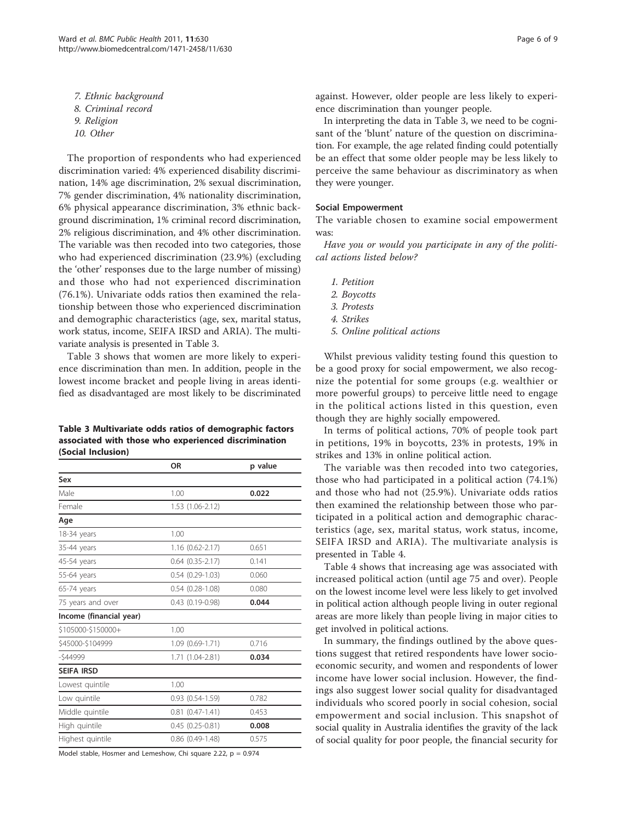7. Ethnic background 8. Criminal record 9. Religion 10. Other

The proportion of respondents who had experienced discrimination varied: 4% experienced disability discrimination, 14% age discrimination, 2% sexual discrimination, 7% gender discrimination, 4% nationality discrimination, 6% physical appearance discrimination, 3% ethnic background discrimination, 1% criminal record discrimination, 2% religious discrimination, and 4% other discrimination. The variable was then recoded into two categories, those who had experienced discrimination (23.9%) (excluding the 'other' responses due to the large number of missing) and those who had not experienced discrimination (76.1%). Univariate odds ratios then examined the relationship between those who experienced discrimination and demographic characteristics (age, sex, marital status, work status, income, SEIFA IRSD and ARIA). The multivariate analysis is presented in Table 3.

Table 3 shows that women are more likely to experience discrimination than men. In addition, people in the lowest income bracket and people living in areas identified as disadvantaged are most likely to be discriminated

## Table 3 Multivariate odds ratios of demographic factors associated with those who experienced discrimination (Social Inclusion)

|                         | <b>OR</b>              | p value |
|-------------------------|------------------------|---------|
| Sex                     |                        |         |
| Male                    | 1.00                   | 0.022   |
| Female                  | 1.53 (1.06-2.12)       |         |
| Age                     |                        |         |
| 18-34 years             | 1.00                   |         |
| 35-44 years             | 1.16 (0.62-2.17)       | 0.651   |
| 45-54 years             | $0.64$ $(0.35 - 2.17)$ | 0.141   |
| 55-64 years             | $0.54(0.29-1.03)$      | 0.060   |
| 65-74 years             | $0.54$ $(0.28 - 1.08)$ | 0.080   |
| 75 years and over       | $0.43$ $(0.19 - 0.98)$ | 0.044   |
| Income (financial year) |                        |         |
| \$105000-\$150000+      | 1.00                   |         |
| \$45000-\$104999        | 1.09 (0.69-1.71)       | 0.716   |
| $-544999$               | 1.71 (1.04-2.81)       | 0.034   |
| <b>SEIFA IRSD</b>       |                        |         |
| Lowest quintile         | 1.00                   |         |
| Low quintile            | $0.93$ $(0.54 - 1.59)$ | 0.782   |
| Middle quintile         | $0.81$ $(0.47 - 1.41)$ | 0.453   |
| High quintile           | $0.45(0.25-0.81)$      | 0.008   |
| Highest quintile        | $0.86$ $(0.49 - 1.48)$ | 0.575   |

Model stable, Hosmer and Lemeshow, Chi square 2.22,  $p = 0.974$ 

against. However, older people are less likely to experience discrimination than younger people.

In interpreting the data in Table 3, we need to be cognisant of the 'blunt' nature of the question on discrimination. For example, the age related finding could potentially be an effect that some older people may be less likely to perceive the same behaviour as discriminatory as when they were younger.

#### Social Empowerment

The variable chosen to examine social empowerment was:

Have you or would you participate in any of the political actions listed below?

- 1. Petition
- 2. Boycotts
- 3. Protests
- 4. Strikes
- 5. Online political actions

Whilst previous validity testing found this question to be a good proxy for social empowerment, we also recognize the potential for some groups (e.g. wealthier or more powerful groups) to perceive little need to engage in the political actions listed in this question, even though they are highly socially empowered.

In terms of political actions, 70% of people took part in petitions, 19% in boycotts, 23% in protests, 19% in strikes and 13% in online political action.

The variable was then recoded into two categories, those who had participated in a political action (74.1%) and those who had not (25.9%). Univariate odds ratios then examined the relationship between those who participated in a political action and demographic characteristics (age, sex, marital status, work status, income, SEIFA IRSD and ARIA). The multivariate analysis is presented in Table [4.](#page-7-0)

Table [4](#page-7-0) shows that increasing age was associated with increased political action (until age 75 and over). People on the lowest income level were less likely to get involved in political action although people living in outer regional areas are more likely than people living in major cities to get involved in political actions.

In summary, the findings outlined by the above questions suggest that retired respondents have lower socioeconomic security, and women and respondents of lower income have lower social inclusion. However, the findings also suggest lower social quality for disadvantaged individuals who scored poorly in social cohesion, social empowerment and social inclusion. This snapshot of social quality in Australia identifies the gravity of the lack of social quality for poor people, the financial security for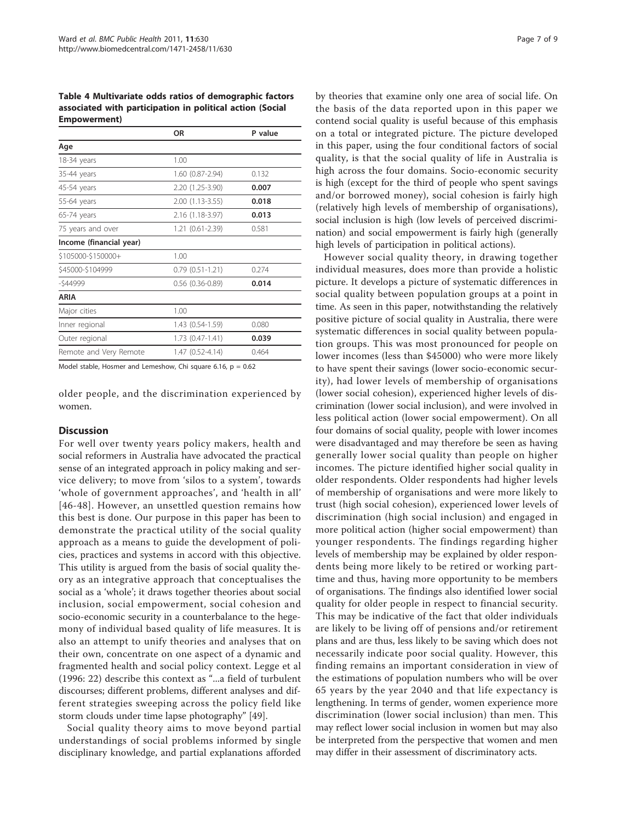<span id="page-7-0"></span>Table 4 Multivariate odds ratios of demographic factors associated with participation in political action (Social Empowerment)

|                         | <b>OR</b>         | P value |
|-------------------------|-------------------|---------|
| Age                     |                   |         |
| 18-34 years             | 1.00              |         |
| 35-44 years             | 1.60 (0.87-2.94)  | 0.132   |
| 45-54 years             | 2.20 (1.25-3.90)  | 0.007   |
| 55-64 years             | 2.00 (1.13-3.55)  | 0.018   |
| 65-74 years             | 2.16 (1.18-3.97)  | 0.013   |
| 75 years and over       | 1.21 (0.61-2.39)  | 0.581   |
| Income (financial year) |                   |         |
| \$105000-\$150000+      | 1.00              |         |
| \$45000-\$104999        | $0.79(0.51-1.21)$ | 0.274   |
| -\$44999                | $0.56(0.36-0.89)$ | 0.014   |
| ARIA                    |                   |         |
| Major cities            | 1.00              |         |
| Inner regional          | 1.43 (0.54-1.59)  | 0.080   |
| Outer regional          | 1.73 (0.47-1.41)  | 0.039   |
| Remote and Very Remote  | 1.47 (0.52-4.14)  | 0.464   |

Model stable, Hosmer and Lemeshow, Chi square 6.16,  $p = 0.62$ 

older people, and the discrimination experienced by women.

## **Discussion**

For well over twenty years policy makers, health and social reformers in Australia have advocated the practical sense of an integrated approach in policy making and service delivery; to move from 'silos to a system', towards 'whole of government approaches', and 'health in all' [[46-48\]](#page-9-0). However, an unsettled question remains how this best is done. Our purpose in this paper has been to demonstrate the practical utility of the social quality approach as a means to guide the development of policies, practices and systems in accord with this objective. This utility is argued from the basis of social quality theory as an integrative approach that conceptualises the social as a 'whole'; it draws together theories about social inclusion, social empowerment, social cohesion and socio-economic security in a counterbalance to the hegemony of individual based quality of life measures. It is also an attempt to unify theories and analyses that on their own, concentrate on one aspect of a dynamic and fragmented health and social policy context. Legge et al (1996: 22) describe this context as "...a field of turbulent discourses; different problems, different analyses and different strategies sweeping across the policy field like storm clouds under time lapse photography" [\[49](#page-9-0)].

Social quality theory aims to move beyond partial understandings of social problems informed by single disciplinary knowledge, and partial explanations afforded by theories that examine only one area of social life. On the basis of the data reported upon in this paper we contend social quality is useful because of this emphasis on a total or integrated picture. The picture developed in this paper, using the four conditional factors of social quality, is that the social quality of life in Australia is high across the four domains. Socio-economic security is high (except for the third of people who spent savings and/or borrowed money), social cohesion is fairly high (relatively high levels of membership of organisations), social inclusion is high (low levels of perceived discrimination) and social empowerment is fairly high (generally high levels of participation in political actions).

However social quality theory, in drawing together individual measures, does more than provide a holistic picture. It develops a picture of systematic differences in social quality between population groups at a point in time. As seen in this paper, notwithstanding the relatively positive picture of social quality in Australia, there were systematic differences in social quality between population groups. This was most pronounced for people on lower incomes (less than \$45000) who were more likely to have spent their savings (lower socio-economic security), had lower levels of membership of organisations (lower social cohesion), experienced higher levels of discrimination (lower social inclusion), and were involved in less political action (lower social empowerment). On all four domains of social quality, people with lower incomes were disadvantaged and may therefore be seen as having generally lower social quality than people on higher incomes. The picture identified higher social quality in older respondents. Older respondents had higher levels of membership of organisations and were more likely to trust (high social cohesion), experienced lower levels of discrimination (high social inclusion) and engaged in more political action (higher social empowerment) than younger respondents. The findings regarding higher levels of membership may be explained by older respondents being more likely to be retired or working parttime and thus, having more opportunity to be members of organisations. The findings also identified lower social quality for older people in respect to financial security. This may be indicative of the fact that older individuals are likely to be living off of pensions and/or retirement plans and are thus, less likely to be saving which does not necessarily indicate poor social quality. However, this finding remains an important consideration in view of the estimations of population numbers who will be over 65 years by the year 2040 and that life expectancy is lengthening. In terms of gender, women experience more discrimination (lower social inclusion) than men. This may reflect lower social inclusion in women but may also be interpreted from the perspective that women and men may differ in their assessment of discriminatory acts.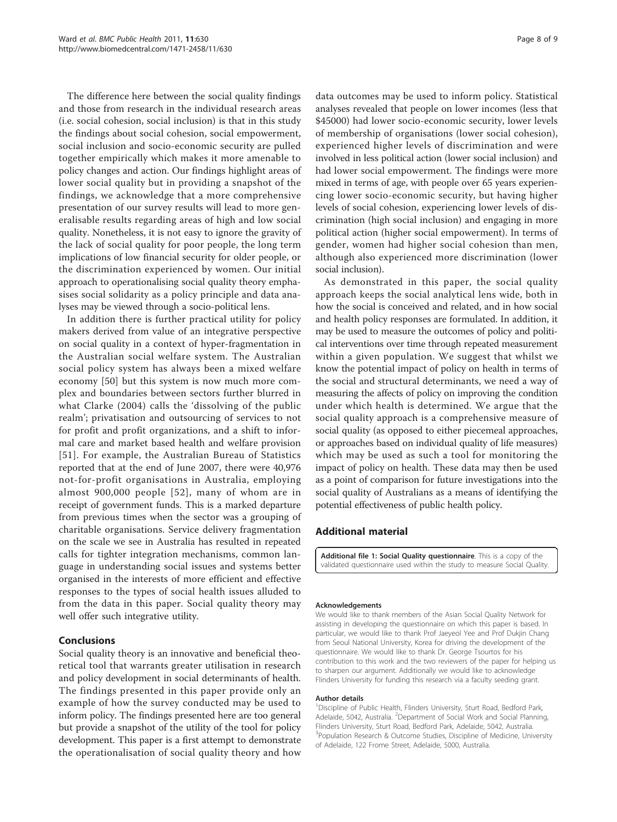<span id="page-8-0"></span>The difference here between the social quality findings and those from research in the individual research areas (i.e. social cohesion, social inclusion) is that in this study the findings about social cohesion, social empowerment, social inclusion and socio-economic security are pulled together empirically which makes it more amenable to policy changes and action. Our findings highlight areas of lower social quality but in providing a snapshot of the findings, we acknowledge that a more comprehensive presentation of our survey results will lead to more generalisable results regarding areas of high and low social quality. Nonetheless, it is not easy to ignore the gravity of the lack of social quality for poor people, the long term implications of low financial security for older people, or the discrimination experienced by women. Our initial approach to operationalising social quality theory emphasises social solidarity as a policy principle and data analyses may be viewed through a socio-political lens.

In addition there is further practical utility for policy makers derived from value of an integrative perspective on social quality in a context of hyper-fragmentation in the Australian social welfare system. The Australian social policy system has always been a mixed welfare economy [\[50](#page-9-0)] but this system is now much more complex and boundaries between sectors further blurred in what Clarke (2004) calls the 'dissolving of the public realm'; privatisation and outsourcing of services to not for profit and profit organizations, and a shift to informal care and market based health and welfare provision [[51](#page-9-0)]. For example, the Australian Bureau of Statistics reported that at the end of June 2007, there were 40,976 not-for-profit organisations in Australia, employing almost 900,000 people [[52](#page-9-0)], many of whom are in receipt of government funds. This is a marked departure from previous times when the sector was a grouping of charitable organisations. Service delivery fragmentation on the scale we see in Australia has resulted in repeated calls for tighter integration mechanisms, common language in understanding social issues and systems better organised in the interests of more efficient and effective responses to the types of social health issues alluded to from the data in this paper. Social quality theory may well offer such integrative utility.

## Conclusions

Social quality theory is an innovative and beneficial theoretical tool that warrants greater utilisation in research and policy development in social determinants of health. The findings presented in this paper provide only an example of how the survey conducted may be used to inform policy. The findings presented here are too general but provide a snapshot of the utility of the tool for policy development. This paper is a first attempt to demonstrate the operationalisation of social quality theory and how data outcomes may be used to inform policy. Statistical analyses revealed that people on lower incomes (less that \$45000) had lower socio-economic security, lower levels of membership of organisations (lower social cohesion), experienced higher levels of discrimination and were involved in less political action (lower social inclusion) and had lower social empowerment. The findings were more mixed in terms of age, with people over 65 years experiencing lower socio-economic security, but having higher levels of social cohesion, experiencing lower levels of discrimination (high social inclusion) and engaging in more political action (higher social empowerment). In terms of gender, women had higher social cohesion than men, although also experienced more discrimination (lower social inclusion).

As demonstrated in this paper, the social quality approach keeps the social analytical lens wide, both in how the social is conceived and related, and in how social and health policy responses are formulated. In addition, it may be used to measure the outcomes of policy and political interventions over time through repeated measurement within a given population. We suggest that whilst we know the potential impact of policy on health in terms of the social and structural determinants, we need a way of measuring the affects of policy on improving the condition under which health is determined. We argue that the social quality approach is a comprehensive measure of social quality (as opposed to either piecemeal approaches, or approaches based on individual quality of life measures) which may be used as such a tool for monitoring the impact of policy on health. These data may then be used as a point of comparison for future investigations into the social quality of Australians as a means of identifying the potential effectiveness of public health policy.

## Additional material

[Additional file 1: S](http://www.biomedcentral.com/content/supplementary/1471-2458-11-630-S1.PDF)ocial Quality questionnaire. This is a copy of the validated questionnaire used within the study to measure Social Quality.

#### Acknowledgements

We would like to thank members of the Asian Social Quality Network for assisting in developing the questionnaire on which this paper is based. In particular, we would like to thank Prof Jaeyeol Yee and Prof Dukjin Chang from Seoul National University, Korea for driving the development of the questionnaire. We would like to thank Dr. George Tsourtos for his contribution to this work and the two reviewers of the paper for helping us to sharpen our argument. Additionally we would like to acknowledge Flinders University for funding this research via a faculty seeding grant.

#### Author details

<sup>1</sup> Discipline of Public Health, Flinders University, Sturt Road, Bedford Park, Adelaide, 5042, Australia. <sup>2</sup>Department of Social Work and Social Planning, Flinders University, Sturt Road, Bedford Park, Adelaide, 5042, Australia. <sup>3</sup>Population Research & Outcome Studies, Discipline of Medicine, University of Adelaide, 122 Frome Street, Adelaide, 5000, Australia.